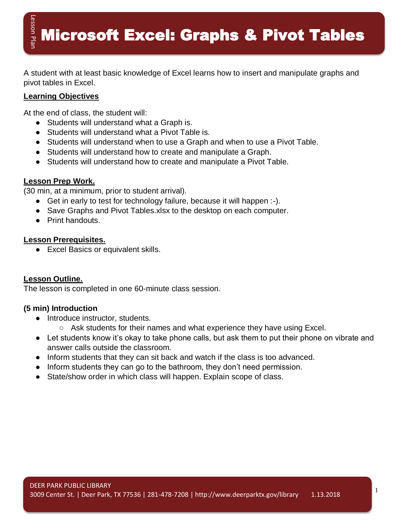**Microsoft Excel: Graphs & Pivot Tables** 

A student with at least basic knowledge of Excel learns how to insert and manipulate graphs and pivot tables in Excel.

#### **Learning Objectives**

At the end of class, the student will:

- Students will understand what a Graph is.
- Students will understand what a Pivot Table is.
- Students will understand when to use a Graph and when to use a Pivot Table.
- Students will understand how to create and manipulate a Graph.
- Students will understand how to create and manipulate a Pivot Table.

## **Lesson Prep Work.**

(30 min, at a minimum, prior to student arrival).

- Get in early to test for technology failure, because it will happen :-).
- Save Graphs and Pivot Tables.xlsx to the desktop on each computer.
- Print handouts.

## **Lesson Prerequisites.**

● Excel Basics or equivalent skills.

# **Lesson Outline.**

The lesson is completed in one 60-minute class session.

# **(5 min) Introduction**

- Introduce instructor, students.
	- Ask students for their names and what experience they have using Excel.
- Let students know it's okay to take phone calls, but ask them to put their phone on vibrate and answer calls outside the classroom.
- Inform students that they can sit back and watch if the class is too advanced.
- Inform students they can go to the bathroom, they don't need permission.
- State/show order in which class will happen. Explain scope of class.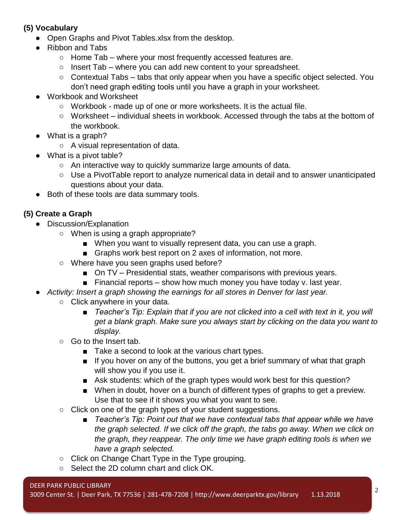# **(5) Vocabulary**

- Open Graphs and Pivot Tables.xlsx from the desktop.
- Ribbon and Tabs
	- $\circ$  Home Tab where your most frequently accessed features are.
	- $\circ$  Insert Tab where you can add new content to your spreadsheet.
	- Contextual Tabs tabs that only appear when you have a specific object selected. You don't need graph editing tools until you have a graph in your worksheet.
- Workbook and Worksheet
	- Workbook made up of one or more worksheets. It is the actual file.
	- Worksheet individual sheets in workbook. Accessed through the tabs at the bottom of the workbook.
- What is a graph?
	- A visual representation of data.
- What is a pivot table?
	- An interactive way to quickly summarize large amounts of data.
	- Use a PivotTable report to analyze numerical data in detail and to answer unanticipated questions about your data.
- Both of these tools are data summary tools.

# **(5) Create a Graph**

- Discussion/Explanation
	- When is using a graph appropriate?
		- When you want to visually represent data, you can use a graph.
		- Graphs work best report on 2 axes of information, not more.
	- Where have you seen graphs used before?
		- On TV Presidential stats, weather comparisons with previous years.
		- **Financial reports show how much money you have today v. last year.**
	- *Activity: Insert a graph showing the earnings for all stores in Denver for last year.*
		- Click anywhere in your data.
			- *Teacher's Tip: Explain that if you are not clicked into a cell with text in it, you will get a blank graph. Make sure you always start by clicking on the data you want to display.*
		- Go to the Insert tab.
			- Take a second to look at the various chart types.
			- If you hover on any of the buttons, you get a brief summary of what that graph will show you if you use it.
			- Ask students: which of the graph types would work best for this question?
			- When in doubt, hover on a bunch of different types of graphs to get a preview. Use that to see if it shows you what you want to see.
		- Click on one of the graph types of your student suggestions.
			- *Teacher's Tip: Point out that we have contextual tabs that appear while we have* the graph selected. If we click off the graph, the tabs go away. When we click on *the graph, they reappear. The only time we have graph editing tools is when we have a graph selected.*
		- Click on Change Chart Type in the Type grouping.
		- Select the 2D column chart and click OK.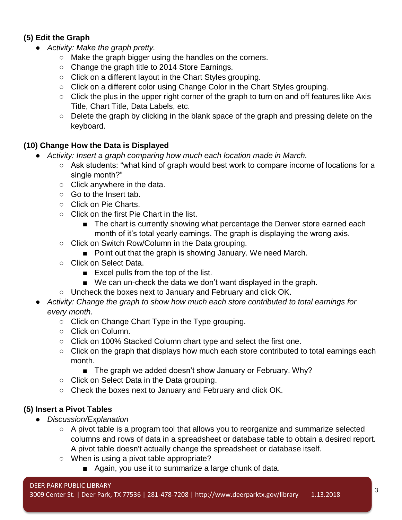## **(5) Edit the Graph**

- *Activity: Make the graph pretty.* 
	- Make the graph bigger using the handles on the corners.
	- Change the graph title to 2014 Store Earnings.
	- Click on a different layout in the Chart Styles grouping.
	- Click on a different color using Change Color in the Chart Styles grouping.
	- Click the plus in the upper right corner of the graph to turn on and off features like Axis Title, Chart Title, Data Labels, etc.
	- Delete the graph by clicking in the blank space of the graph and pressing delete on the keyboard.

#### **(10) Change How the Data is Displayed**

- *Activity: Insert a graph comparing how much each location made in March.*
	- Ask students: "what kind of graph would best work to compare income of locations for a single month?"
	- Click anywhere in the data.
	- Go to the Insert tab.
	- Click on Pie Charts.
	- Click on the first Pie Chart in the list.
		- The chart is currently showing what percentage the Denver store earned each month of it's total yearly earnings. The graph is displaying the wrong axis.
	- Click on Switch Row/Column in the Data grouping.
		- Point out that the graph is showing January. We need March.
	- Click on Select Data.
		- Excel pulls from the top of the list.
		- We can un-check the data we don't want displayed in the graph.
	- Uncheck the boxes next to January and February and click OK.
- *Activity: Change the graph to show how much each store contributed to total earnings for every month.*
	- Click on Change Chart Type in the Type grouping.
	- Click on Column.
	- Click on 100% Stacked Column chart type and select the first one.
	- Click on the graph that displays how much each store contributed to total earnings each month.
		- The graph we added doesn't show January or February. Why?
	- Click on Select Data in the Data grouping.
	- Check the boxes next to January and February and click OK.

#### **(5) Insert a Pivot Tables**

- *Discussion/Explanation*
	- A pivot table is a program tool that allows you to reorganize and summarize selected columns and rows of data in a spreadsheet or database table to obtain a desired report. A pivot table doesn't actually change the spreadsheet or database itself.
	- When is using a pivot table appropriate?
		- Again, you use it to summarize a large chunk of data.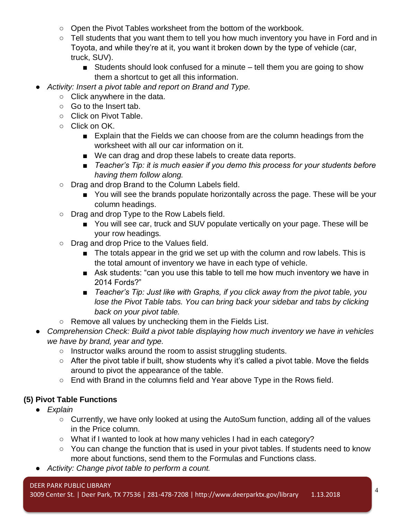- Open the Pivot Tables worksheet from the bottom of the workbook.
- Tell students that you want them to tell you how much inventory you have in Ford and in Toyota, and while they're at it, you want it broken down by the type of vehicle (car, truck, SUV).
	- Students should look confused for a minute tell them you are going to show them a shortcut to get all this information.
- Activity: Insert a pivot table and report on Brand and Type.
	- Click anywhere in the data.
	- Go to the Insert tab.
	- Click on Pivot Table.
	- Click on OK.
		- Explain that the Fields we can choose from are the column headings from the worksheet with all our car information on it.
		- We can drag and drop these labels to create data reports.
		- *Teacher's Tip: it is much easier if you demo this process for your students before having them follow along.*
	- Drag and drop Brand to the Column Labels field.
		- You will see the brands populate horizontally across the page. These will be your column headings.
	- Drag and drop Type to the Row Labels field.
		- You will see car, truck and SUV populate vertically on your page. These will be your row headings.
	- Drag and drop Price to the Values field.
		- The totals appear in the grid we set up with the column and row labels. This is the total amount of inventory we have in each type of vehicle.
		- Ask students: "can you use this table to tell me how much inventory we have in 2014 Fords?"
		- *Teacher's Tip: Just like with Graphs, if you click away from the pivot table, you* lose the Pivot Table tabs. You can bring back your sidebar and tabs by clicking *back on your pivot table.*
	- Remove all values by unchecking them in the Fields List.
- *Comprehension Check: Build a pivot table displaying how much inventory we have in vehicles we have by brand, year and type.*
	- Instructor walks around the room to assist struggling students.
	- After the pivot table if built, show students why it's called a pivot table. Move the fields around to pivot the appearance of the table.
	- End with Brand in the columns field and Year above Type in the Rows field.

# **(5) Pivot Table Functions**

- *Explain*
	- Currently, we have only looked at using the AutoSum function, adding all of the values in the Price column.
	- What if I wanted to look at how many vehicles I had in each category?
	- You can change the function that is used in your pivot tables. If students need to know more about functions, send them to the Formulas and Functions class.
- *Activity: Change pivot table to perform a count.*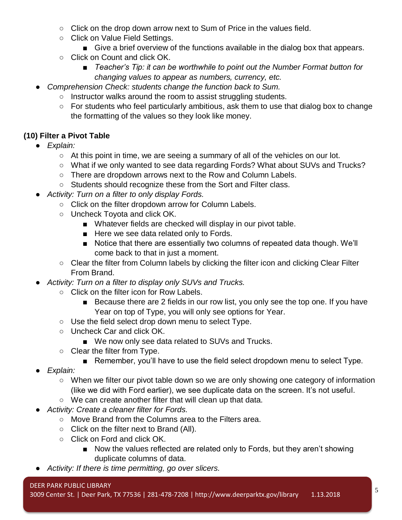- Click on the drop down arrow next to Sum of Price in the values field.
- Click on Value Field Settings.
	- Give a brief overview of the functions available in the dialog box that appears.
- Click on Count and click OK.
	- *Teacher's Tip: it can be worthwhile to point out the Number Format button for changing values to appear as numbers, currency, etc.*
- Comprehension Check: students change the function back to Sum.
	- Instructor walks around the room to assist struggling students.
	- For students who feel particularly ambitious, ask them to use that dialog box to change the formatting of the values so they look like money.

# **(10) Filter a Pivot Table**

- *Explain:*
	- At this point in time, we are seeing a summary of all of the vehicles on our lot.
	- What if we only wanted to see data regarding Fords? What about SUVs and Trucks?
	- There are dropdown arrows next to the Row and Column Labels.
	- Students should recognize these from the Sort and Filter class.
- *Activity: Turn on a filter to only display Fords.*
	- Click on the filter dropdown arrow for Column Labels.
	- Uncheck Toyota and click OK.
		- Whatever fields are checked will display in our pivot table.
		- Here we see data related only to Fords.
		- Notice that there are essentially two columns of repeated data though. We'll come back to that in just a moment.
	- Clear the filter from Column labels by clicking the filter icon and clicking Clear Filter From Brand.
- *Activity: Turn on a filter to display only SUVs and Trucks.*
	- Click on the filter icon for Row Labels.
		- Because there are 2 fields in our row list, you only see the top one. If you have Year on top of Type, you will only see options for Year.
	- Use the field select drop down menu to select Type.
	- Uncheck Car and click OK.
		- We now only see data related to SUVs and Trucks.
	- Clear the filter from Type.
		- Remember, you'll have to use the field select dropdown menu to select Type.
- *Explain:*
	- When we filter our pivot table down so we are only showing one category of information (like we did with Ford earlier), we see duplicate data on the screen. It's not useful.
	- We can create another filter that will clean up that data.
- *Activity: Create a cleaner filter for Fords.*
	- Move Brand from the Columns area to the Filters area.
	- Click on the filter next to Brand (All).
	- Click on Ford and click OK.
		- Now the values reflected are related only to Fords, but they aren't showing duplicate columns of data.
- Activity: If there is time permitting, go over slicers.